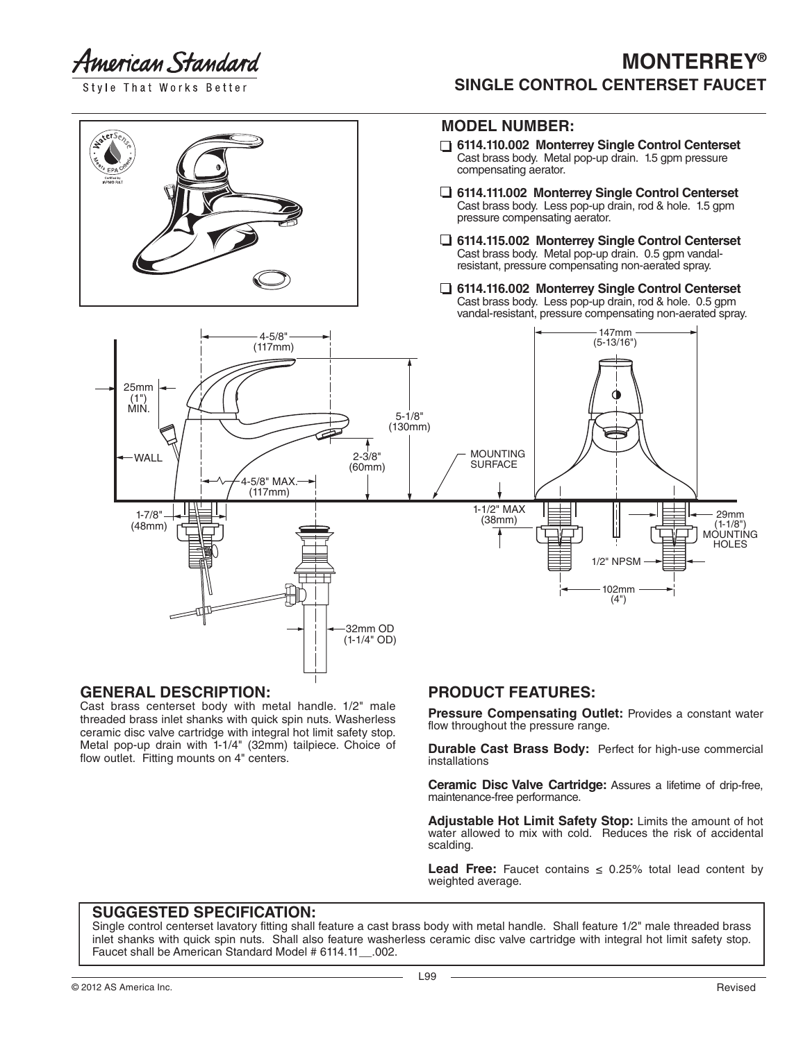American Standard

Style That Works Better

## **MONTERREY® SINGLE CONTROL CENTERSET FAUCET**

#### **MODEL NUMBER:**

- **6114.110.002 Monterrey Single Control Centerset** Cast brass body. Metal pop-up drain. 1.5 gpm pressure compensating aerator.
- **6114.111.002 Monterrey Single Control Centerset** Cast brass body. Less pop-up drain, rod & hole. 1.5 gpm pressure compensating aerator.
- **6114.115.002 Monterrey Single Control Centerset** Cast brass body. Metal pop-up drain. 0.5 gpm vandal resistant, pressure compensating non-aerated spray.
- **6114.116.002 Monterrey Single Control Centerset** Cast brass body. Less pop-up drain, rod & hole. 0.5 gpm vandal-resistant, pressure compensating non-aerated spray.



#### **GENERAL DESCRIPTION:**

Cast brass centerset body with metal handle. 1/2" male threaded brass inlet shanks with quick spin nuts. Washerless ceramic disc valve cartridge with integral hot limit safety stop. Metal pop-up drain with 1-1/4" (32mm) tailpiece. Choice of flow outlet. Fitting mounts on 4" centers.

### **PRODUCT FEATURES:**

**Pressure Compensating Outlet:** Provides a constant water flow throughout the pressure range.

**Durable Cast Brass Body:** Perfect for high-use commercial installations

**Ceramic Disc Valve Cartridge:** Assures a lifetime of drip-free, maintenance-free performance.

**Adjustable Hot Limit Safety Stop:** Limits the amount of hot water allowed to mix with cold. Reduces the risk of accidental scalding.

**Lead Free:** Faucet contains  $\leq$  0.25% total lead content by weighted average.

### **SUGGESTED SPECIFICATION:**

Single control centerset lavatory fitting shall feature a cast brass body with metal handle. Shall feature 1/2" male threaded brass inlet shanks with quick spin nuts. Shall also feature washerless ceramic disc valve cartridge with integral hot limit safety stop. Faucet shall be American Standard Model # 6114.11\_\_.002.